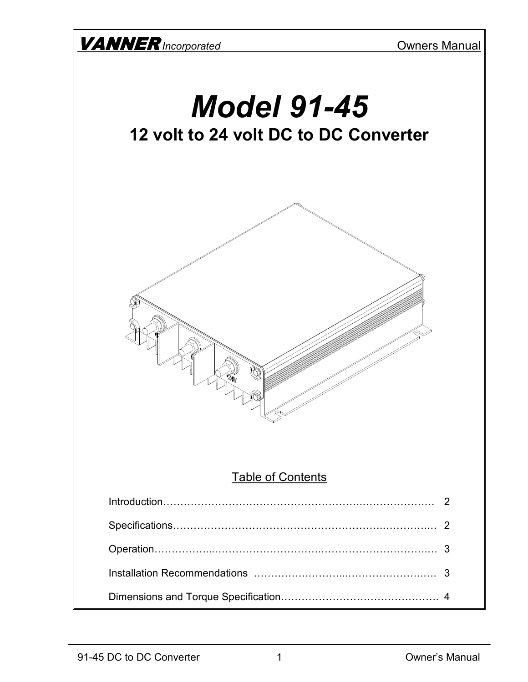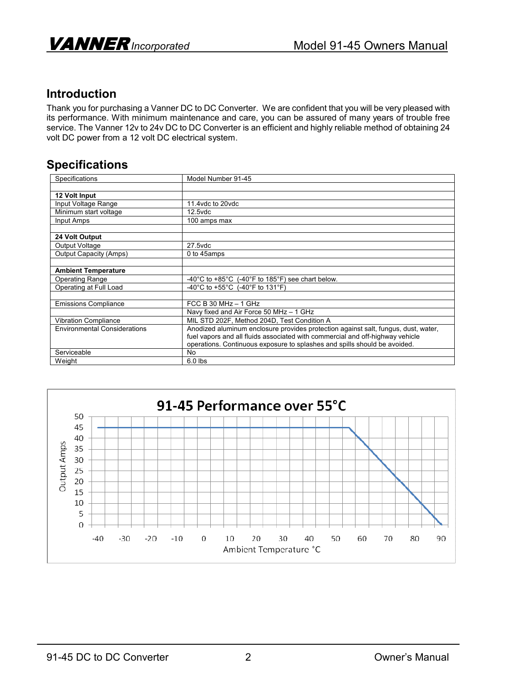

## **Introduction**

Thank you for purchasing a Vanner DC to DC Converter. We are confident that you will be very pleased with its performance. With minimum maintenance and care, you can be assured of many years of trouble free service. The Vanner 12v to 24v DC to DC Converter is an efficient and highly reliable method of obtaining 24 volt DC power from a 12 volt DC electrical system.

## **Specifications**

| Specifications                      | Model Number 91-45                                                                 |
|-------------------------------------|------------------------------------------------------------------------------------|
|                                     |                                                                                    |
| 12 Volt Input                       |                                                                                    |
| Input Voltage Range                 | 11.4 vdc to 20 vdc                                                                 |
| Minimum start voltage               | $12.5$ vdc                                                                         |
| Input Amps                          | 100 amps max                                                                       |
|                                     |                                                                                    |
| 24 Volt Output                      |                                                                                    |
| Output Voltage                      | 27.5vdc                                                                            |
| <b>Output Capacity (Amps)</b>       | 0 to 45amps                                                                        |
|                                     |                                                                                    |
| <b>Ambient Temperature</b>          |                                                                                    |
| <b>Operating Range</b>              | -40°C to +85°C $(-40^\circ)$ F to 185°F) see chart below.                          |
| Operating at Full Load              | -40°C to +55°C $(-40°F)$ to 131°F)                                                 |
|                                     |                                                                                    |
| <b>Emissions Compliance</b>         | FCC B 30 MHz $-$ 1 GHz                                                             |
|                                     | Navy fixed and Air Force 50 MHz - 1 GHz                                            |
| Vibration Compliance                | MIL STD 202F, Method 204D, Test Condition A                                        |
| <b>Environmental Considerations</b> | Anodized aluminum enclosure provides protection against salt, fungus, dust, water, |
|                                     | fuel vapors and all fluids associated with commercial and off-highway vehicle      |
|                                     | operations. Continuous exposure to splashes and spills should be avoided.          |
| Serviceable                         | <b>No</b>                                                                          |
| Weight                              | $6.0$ lbs                                                                          |

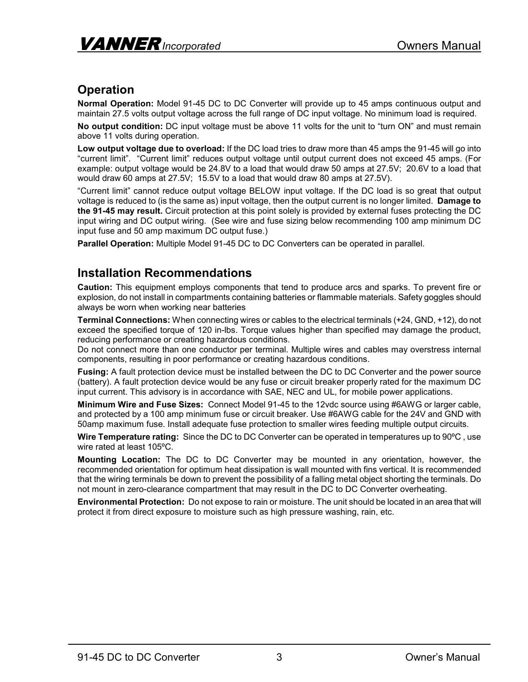## **Operation**

**Normal Operation:** Model 91-45 DC to DC Converter will provide up to 45 amps continuous output and maintain 27.5 volts output voltage across the full range of DC input voltage. No minimum load is required.

**No output condition:** DC input voltage must be above 11 volts for the unit to "turn ON" and must remain above 11 volts during operation.

**Low output voltage due to overload:** If the DC load tries to draw more than 45 amps the 91-45 will go into "current limit". "Current limit" reduces output voltage until output current does not exceed 45 amps. (For example: output voltage would be 24.8V to a load that would draw 50 amps at 27.5V; 20.6V to a load that would draw 60 amps at 27.5V; 15.5V to a load that would draw 80 amps at 27.5V).

"Current limit" cannot reduce output voltage BELOW input voltage. If the DC load is so great that output voltage is reduced to (is the same as) input voltage, then the output current is no longer limited. **Damage to the 91-45 may result.** Circuit protection at this point solely is provided by external fuses protecting the DC input wiring and DC output wiring. (See wire and fuse sizing below recommending 100 amp minimum DC input fuse and 50 amp maximum DC output fuse.)

**Parallel Operation:** Multiple Model 91-45 DC to DC Converters can be operated in parallel.

## **Installation Recommendations**

**Caution:** This equipment employs components that tend to produce arcs and sparks. To prevent fire or explosion, do not install in compartments containing batteries or flammable materials. Safety goggles should always be worn when working near batteries

**Terminal Connections:** When connecting wires or cables to the electrical terminals (+24, GND, +12), do not exceed the specified torque of 120 in-lbs. Torque values higher than specified may damage the product, reducing performance or creating hazardous conditions.

Do not connect more than one conductor per terminal. Multiple wires and cables may overstress internal components, resulting in poor performance or creating hazardous conditions.

**Fusing:** A fault protection device must be installed between the DC to DC Converter and the power source (battery). A fault protection device would be any fuse or circuit breaker properly rated for the maximum DC input current. This advisory is in accordance with SAE, NEC and UL, for mobile power applications.

**Minimum Wire and Fuse Sizes:** Connect Model 91-45 to the 12vdc source using #6AWG or larger cable, and protected by a 100 amp minimum fuse or circuit breaker. Use #6AWG cable for the 24V and GND with 50amp maximum fuse. Install adequate fuse protection to smaller wires feeding multiple output circuits.

**Wire Temperature rating:** Since the DC to DC Converter can be operated in temperatures up to 90ºC , use wire rated at least 105ºC.

**Mounting Location:** The DC to DC Converter may be mounted in any orientation, however, the recommended orientation for optimum heat dissipation is wall mounted with fins vertical. It is recommended that the wiring terminals be down to prevent the possibility of a falling metal object shorting the terminals. Do not mount in zero-clearance compartment that may result in the DC to DC Converter overheating.

**Environmental Protection:** Do not expose to rain or moisture. The unit should be located in an area that will protect it from direct exposure to moisture such as high pressure washing, rain, etc.